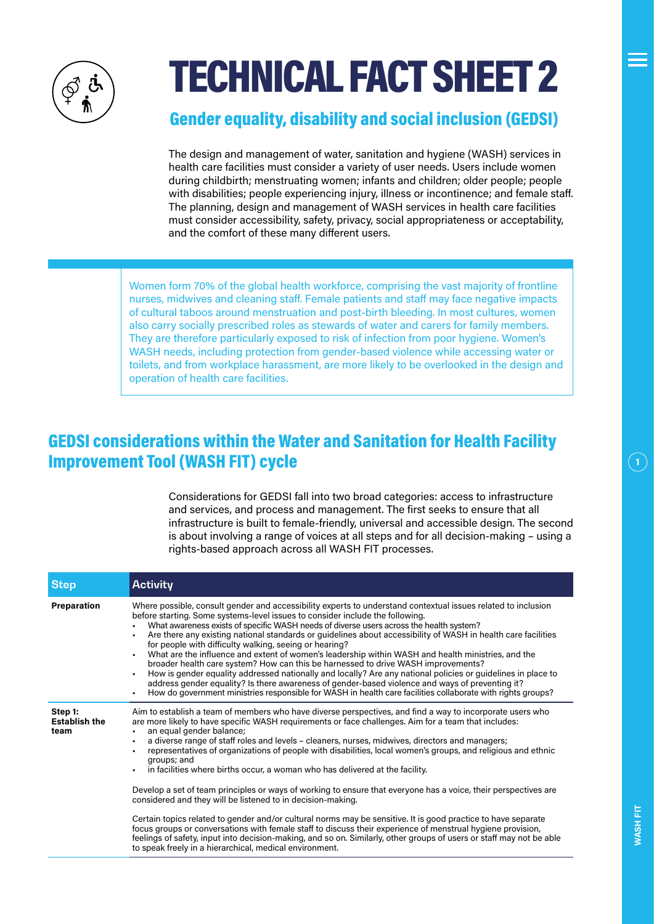

# TECHNICAL FACT SHEET 2

### Gender equality, disability and social inclusion (GEDSI)

The design and management of water, sanitation and hygiene (WASH) services in health care facilities must consider a variety of user needs. Users include women during childbirth; menstruating women; infants and children; older people; people with disabilities; people experiencing injury, illness or incontinence; and female staff. The planning, design and management of WASH services in health care facilities must consider accessibility, safety, privacy, social appropriateness or acceptability, and the comfort of these many different users.

Women form 70% of the global health workforce, comprising the vast majority of frontline nurses, midwives and cleaning staff. Female patients and staff may face negative impacts of cultural taboos around menstruation and post-birth bleeding. In most cultures, women also carry socially prescribed roles as stewards of water and carers for family members. They are therefore particularly exposed to risk of infection from poor hygiene. Women's WASH needs, including protection from gender-based violence while accessing water or toilets, and from workplace harassment, are more likely to be overlooked in the design and operation of health care facilities.

# GEDSI considerations within the Water and Sanitation for Health Facility Improvement Tool (WASH FIT) cycle

Considerations for GEDSI fall into two broad categories: access to infrastructure and services, and process and management. The first seeks to ensure that all infrastructure is built to female-friendly, universal and accessible design. The second is about involving a range of voices at all steps and for all decision-making – using a rights-based approach across all WASH FIT processes.

| <b>Step</b>                             | <b>Activity</b>                                                                                                                                                                                                                                                                                                                                                                                                                                                                                                                                                                                                                                                                                                                                                                                                                                                                                                                                                                                                                                                                                                                                                            |
|-----------------------------------------|----------------------------------------------------------------------------------------------------------------------------------------------------------------------------------------------------------------------------------------------------------------------------------------------------------------------------------------------------------------------------------------------------------------------------------------------------------------------------------------------------------------------------------------------------------------------------------------------------------------------------------------------------------------------------------------------------------------------------------------------------------------------------------------------------------------------------------------------------------------------------------------------------------------------------------------------------------------------------------------------------------------------------------------------------------------------------------------------------------------------------------------------------------------------------|
| Preparation                             | Where possible, consult gender and accessibility experts to understand contextual issues related to inclusion<br>before starting. Some systems-level issues to consider include the following.<br>What awareness exists of specific WASH needs of diverse users across the health system?<br>Are there any existing national standards or quidelines about accessibility of WASH in health care facilities<br>for people with difficulty walking, seeing or hearing?<br>What are the influence and extent of women's leadership within WASH and health ministries, and the<br>broader health care system? How can this be harnessed to drive WASH improvements?<br>How is gender equality addressed nationally and locally? Are any national policies or guidelines in place to<br>address gender equality? Is there awareness of gender-based violence and ways of preventing it?<br>How do government ministries responsible for WASH in health care facilities collaborate with rights groups?                                                                                                                                                                          |
| Step 1:<br><b>Establish the</b><br>team | Aim to establish a team of members who have diverse perspectives, and find a way to incorporate users who<br>are more likely to have specific WASH requirements or face challenges. Aim for a team that includes:<br>an equal gender balance;<br>٠.<br>a diverse range of staff roles and levels – cleaners, nurses, midwives, directors and managers;<br>representatives of organizations of people with disabilities, local women's groups, and religious and ethnic<br>groups; and<br>in facilities where births occur, a woman who has delivered at the facility.<br>Develop a set of team principles or ways of working to ensure that everyone has a voice, their perspectives are<br>considered and they will be listened to in decision-making.<br>Certain topics related to gender and/or cultural norms may be sensitive. It is good practice to have separate<br>focus groups or conversations with female staff to discuss their experience of menstrual hygiene provision,<br>feelings of safety, input into decision-making, and so on. Similarly, other groups of users or staff may not be able<br>to speak freely in a hierarchical, medical environment. |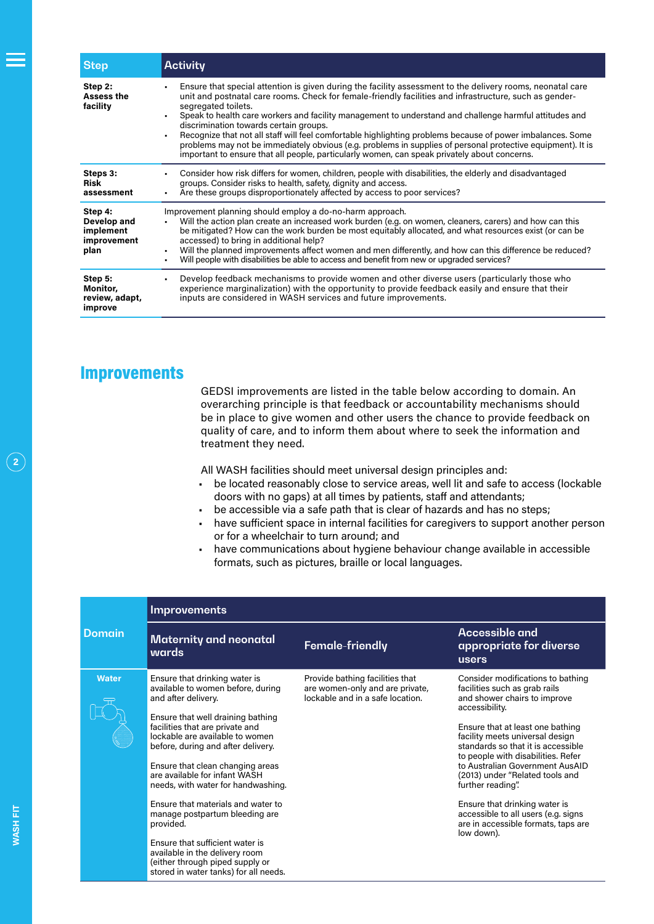| <b>Step</b>                                                | <b>Activity</b>                                                                                                                                                                                                                                                                                                                                                                                                                                                                                                                                                                                                                                                                                                                                      |  |
|------------------------------------------------------------|------------------------------------------------------------------------------------------------------------------------------------------------------------------------------------------------------------------------------------------------------------------------------------------------------------------------------------------------------------------------------------------------------------------------------------------------------------------------------------------------------------------------------------------------------------------------------------------------------------------------------------------------------------------------------------------------------------------------------------------------------|--|
| Step 2:<br><b>Assess the</b><br>facility                   | Ensure that special attention is given during the facility assessment to the delivery rooms, neonatal care<br>٠<br>unit and postnatal care rooms. Check for female-friendly facilities and infrastructure, such as gender-<br>segregated toilets.<br>Speak to health care workers and facility management to understand and challenge harmful attitudes and<br>discrimination towards certain groups.<br>Recognize that not all staff will feel comfortable highlighting problems because of power imbalances. Some<br>$\blacksquare$<br>problems may not be immediately obvious (e.g. problems in supplies of personal protective equipment). It is<br>important to ensure that all people, particularly women, can speak privately about concerns. |  |
| Steps 3:<br>Risk<br>assessment                             | Consider how risk differs for women, children, people with disabilities, the elderly and disadvantaged<br>$\blacksquare$<br>groups. Consider risks to health, safety, dignity and access.<br>Are these groups disproportionately affected by access to poor services?                                                                                                                                                                                                                                                                                                                                                                                                                                                                                |  |
| Step 4:<br>Develop and<br>implement<br>improvement<br>plan | Improvement planning should employ a do-no-harm approach.<br>Will the action plan create an increased work burden (e.g. on women, cleaners, carers) and how can this<br>be mitigated? How can the work burden be most equitably allocated, and what resources exist (or can be<br>accessed) to bring in additional help?<br>Will the planned improvements affect women and men differently, and how can this difference be reduced?<br>Will people with disabilities be able to access and benefit from new or upgraded services?<br>$\blacksquare$                                                                                                                                                                                                  |  |
| Step 5:<br>Monitor,<br>review, adapt,<br>improve           | Develop feedback mechanisms to provide women and other diverse users (particularly those who<br>٠<br>experience marginalization) with the opportunity to provide feedback easily and ensure that their<br>inputs are considered in WASH services and future improvements.                                                                                                                                                                                                                                                                                                                                                                                                                                                                            |  |

#### Improvements

GEDSI improvements are listed in the table below according to domain. An overarching principle is that feedback or accountability mechanisms should be in place to give women and other users the chance to provide feedback on quality of care, and to inform them about where to seek the information and treatment they need.

All WASH facilities should meet universal design principles and:

- be located reasonably close to service areas, well lit and safe to access (lockable doors with no gaps) at all times by patients, staff and attendants;
- be accessible via a safe path that is clear of hazards and has no steps;
- have sufficient space in internal facilities for caregivers to support another person or for a wheelchair to turn around; and
- have communications about hygiene behaviour change available in accessible formats, such as pictures, braille or local languages.

| <b>Domain</b> | Improvements                                                                                                                                                                                                                                                                                                                                                                                                                                                                                                                                                                                |                                                                                                        |                                                                                                                                                                                                                                                                                                                                                                                                                                                                                                 |  |  |
|---------------|---------------------------------------------------------------------------------------------------------------------------------------------------------------------------------------------------------------------------------------------------------------------------------------------------------------------------------------------------------------------------------------------------------------------------------------------------------------------------------------------------------------------------------------------------------------------------------------------|--------------------------------------------------------------------------------------------------------|-------------------------------------------------------------------------------------------------------------------------------------------------------------------------------------------------------------------------------------------------------------------------------------------------------------------------------------------------------------------------------------------------------------------------------------------------------------------------------------------------|--|--|
|               | <b>Maternity and neonatal</b><br>wards                                                                                                                                                                                                                                                                                                                                                                                                                                                                                                                                                      | Female-friendly                                                                                        | <b>Accessible and</b><br>appropriate for diverse<br>users                                                                                                                                                                                                                                                                                                                                                                                                                                       |  |  |
| <b>Water</b>  | Ensure that drinking water is<br>available to women before, during<br>and after delivery.<br>Ensure that well draining bathing<br>facilities that are private and<br>lockable are available to women<br>before, during and after delivery.<br>Ensure that clean changing areas<br>are available for infant WASH<br>needs, with water for handwashing.<br>Ensure that materials and water to<br>manage postpartum bleeding are<br>provided.<br>Ensure that sufficient water is<br>available in the delivery room<br>(either through piped supply or<br>stored in water tanks) for all needs. | Provide bathing facilities that<br>are women-only and are private,<br>lockable and in a safe location. | Consider modifications to bathing<br>facilities such as grab rails<br>and shower chairs to improve<br>accessibility.<br>Ensure that at least one bathing<br>facility meets universal design<br>standards so that it is accessible<br>to people with disabilities. Refer<br>to Australian Government AusAID<br>(2013) under "Related tools and<br>further reading".<br>Ensure that drinking water is<br>accessible to all users (e.g. signs<br>are in accessible formats, taps are<br>low down). |  |  |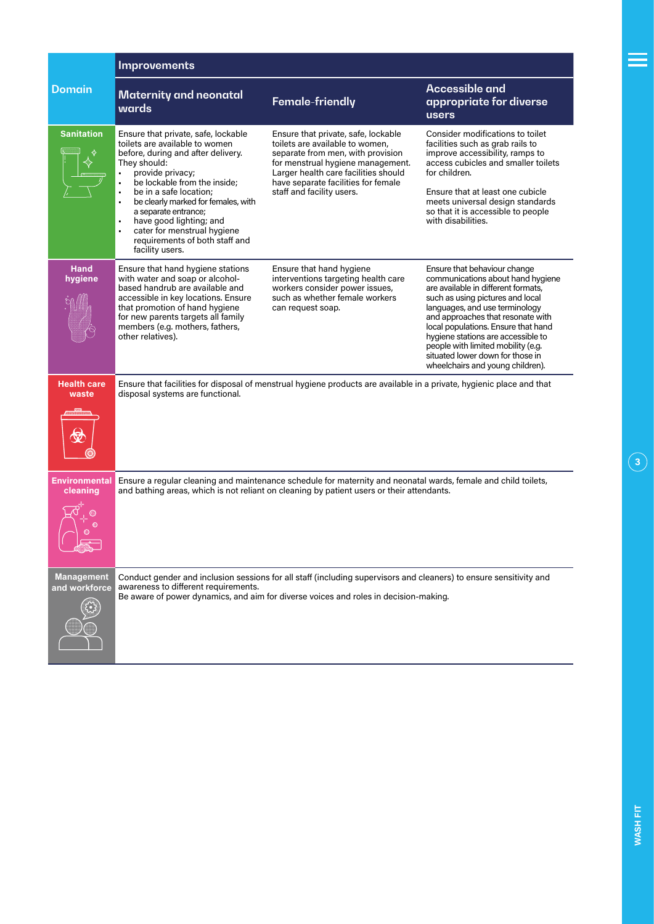|                                    | Improvements                                                                                                                                                                                                                                                                                                                                                                                      |                                                                                                                                                                                                                                                              |                                                                                                                                                                                                                                                                                                                                                                                                                |  |
|------------------------------------|---------------------------------------------------------------------------------------------------------------------------------------------------------------------------------------------------------------------------------------------------------------------------------------------------------------------------------------------------------------------------------------------------|--------------------------------------------------------------------------------------------------------------------------------------------------------------------------------------------------------------------------------------------------------------|----------------------------------------------------------------------------------------------------------------------------------------------------------------------------------------------------------------------------------------------------------------------------------------------------------------------------------------------------------------------------------------------------------------|--|
| <b>Domain</b>                      | <b>Maternity and neonatal</b><br>wards                                                                                                                                                                                                                                                                                                                                                            | Female-friendly                                                                                                                                                                                                                                              | <b>Accessible and</b><br>appropriate for diverse<br>users                                                                                                                                                                                                                                                                                                                                                      |  |
| <b>Sanitation</b>                  | Ensure that private, safe, lockable<br>toilets are available to women<br>before, during and after delivery.<br>They should:<br>provide privacy;<br>be lockable from the inside:<br>be in a safe location:<br>ï<br>be clearly marked for females, with<br>a separate entrance;<br>have good lighting; and<br>٠<br>cater for menstrual hygiene<br>requirements of both staff and<br>facility users. | Ensure that private, safe, lockable<br>toilets are available to women,<br>separate from men, with provision<br>for menstrual hygiene management.<br>Larger health care facilities should<br>have separate facilities for female<br>staff and facility users. | Consider modifications to toilet<br>facilities such as grab rails to<br>improve accessibility, ramps to<br>access cubicles and smaller toilets<br>for children.<br>Ensure that at least one cubicle<br>meets universal design standards<br>so that it is accessible to people<br>with disabilities.                                                                                                            |  |
| <b>Hand</b><br>hygiene             | Ensure that hand hygiene stations<br>with water and soap or alcohol-<br>based handrub are available and<br>accessible in key locations. Ensure<br>that promotion of hand hygiene<br>for new parents targets all family<br>members (e.g. mothers, fathers,<br>other relatives).                                                                                                                    | Ensure that hand hygiene<br>interventions targeting health care<br>workers consider power issues,<br>such as whether female workers<br>can request soap.                                                                                                     | Ensure that behaviour change<br>communications about hand hygiene<br>are available in different formats,<br>such as using pictures and local<br>languages, and use terminology<br>and approaches that resonate with<br>local populations. Ensure that hand<br>hygiene stations are accessible to<br>people with limited mobility (e.g.<br>situated lower down for those in<br>wheelchairs and young children). |  |
| <b>Health care</b><br>waste        | disposal systems are functional.                                                                                                                                                                                                                                                                                                                                                                  | Ensure that facilities for disposal of menstrual hygiene products are available in a private, hygienic place and that                                                                                                                                        |                                                                                                                                                                                                                                                                                                                                                                                                                |  |
| <b>Environmental</b><br>cleaning   |                                                                                                                                                                                                                                                                                                                                                                                                   | Ensure a regular cleaning and maintenance schedule for maternity and neonatal wards, female and child toilets,<br>and bathing areas, which is not reliant on cleaning by patient users or their attendants.                                                  |                                                                                                                                                                                                                                                                                                                                                                                                                |  |
| <b>Management</b><br>and workforce | Conduct gender and inclusion sessions for all staff (including supervisors and cleaners) to ensure sensitivity and<br>awareness to different requirements.<br>Be aware of power dynamics, and aim for diverse voices and roles in decision-making.                                                                                                                                                |                                                                                                                                                                                                                                                              |                                                                                                                                                                                                                                                                                                                                                                                                                |  |

≡